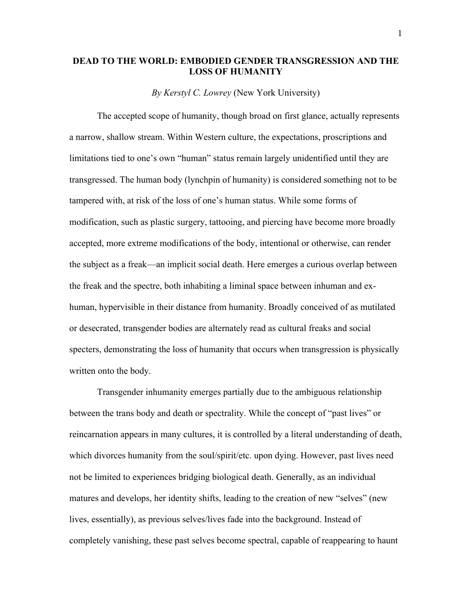## **DEAD TO THE WORLD: EMBODIED GENDER TRANSGRESSION AND THE LOSS OF HUMANITY**

*By Kerstyl C. Lowrey* (New York University)

The accepted scope of humanity, though broad on first glance, actually represents a narrow, shallow stream. Within Western culture, the expectations, proscriptions and limitations tied to one's own "human" status remain largely unidentified until they are transgressed. The human body (lynchpin of humanity) is considered something not to be tampered with, at risk of the loss of one's human status. While some forms of modification, such as plastic surgery, tattooing, and piercing have become more broadly accepted, more extreme modifications of the body, intentional or otherwise, can render the subject as a freak—an implicit social death. Here emerges a curious overlap between the freak and the spectre, both inhabiting a liminal space between inhuman and exhuman, hypervisible in their distance from humanity. Broadly conceived of as mutilated or desecrated, transgender bodies are alternately read as cultural freaks and social specters, demonstrating the loss of humanity that occurs when transgression is physically written onto the body.

Transgender inhumanity emerges partially due to the ambiguous relationship between the trans body and death or spectrality. While the concept of "past lives" or reincarnation appears in many cultures, it is controlled by a literal understanding of death, which divorces humanity from the soul/spirit/etc. upon dying. However, past lives need not be limited to experiences bridging biological death. Generally, as an individual matures and develops, her identity shifts, leading to the creation of new "selves" (new lives, essentially), as previous selves/lives fade into the background. Instead of completely vanishing, these past selves become spectral, capable of reappearing to haunt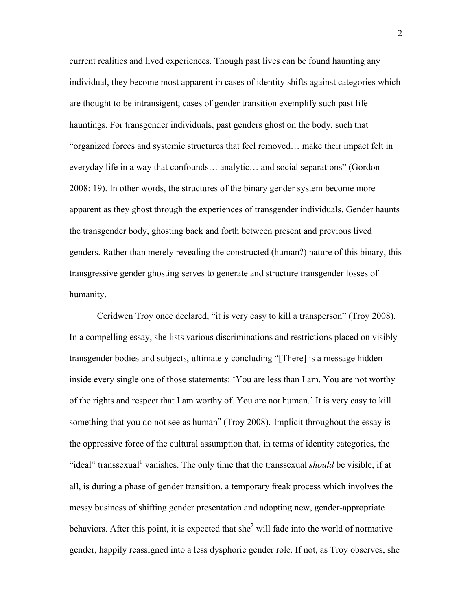current realities and lived experiences. Though past lives can be found haunting any individual, they become most apparent in cases of identity shifts against categories which are thought to be intransigent; cases of gender transition exemplify such past life hauntings. For transgender individuals, past genders ghost on the body, such that "organized forces and systemic structures that feel removed… make their impact felt in everyday life in a way that confounds… analytic… and social separations" (Gordon 2008: 19). In other words, the structures of the binary gender system become more apparent as they ghost through the experiences of transgender individuals. Gender haunts the transgender body, ghosting back and forth between present and previous lived genders. Rather than merely revealing the constructed (human?) nature of this binary, this transgressive gender ghosting serves to generate and structure transgender losses of humanity.

Ceridwen Troy once declared, "it is very easy to kill a transperson" (Troy 2008). In a compelling essay, she lists various discriminations and restrictions placed on visibly transgender bodies and subjects, ultimately concluding "[There] is a message hidden inside every single one of those statements: 'You are less than I am. You are not worthy of the rights and respect that I am worthy of. You are not human.' It is very easy to kill something that you do not see as human" (Troy 2008). Implicit throughout the essay is the oppressive force of the cultural assumption that, in terms of identity categories, the "ideal" transsexual<sup>1</sup> vanishes. The only time that the transsexual *should* be visible, if at all, is during a phase of gender transition, a temporary freak process which involves the messy business of shifting gender presentation and adopting new, gender-appropriate behaviors. After this point, it is expected that she<sup>2</sup> will fade into the world of normative gender, happily reassigned into a less dysphoric gender role. If not, as Troy observes, she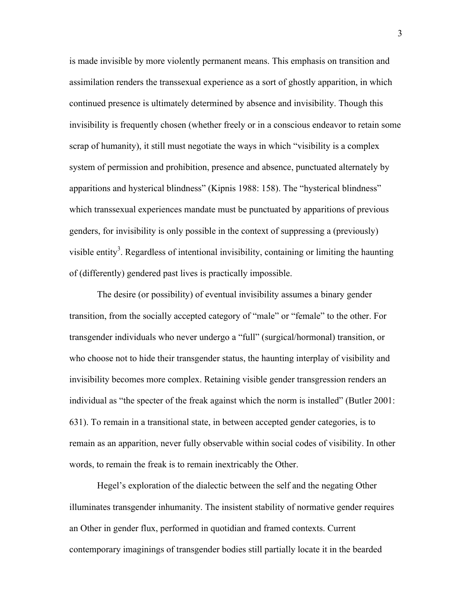is made invisible by more violently permanent means. This emphasis on transition and assimilation renders the transsexual experience as a sort of ghostly apparition, in which continued presence is ultimately determined by absence and invisibility. Though this invisibility is frequently chosen (whether freely or in a conscious endeavor to retain some scrap of humanity), it still must negotiate the ways in which "visibility is a complex system of permission and prohibition, presence and absence, punctuated alternately by apparitions and hysterical blindness" (Kipnis 1988: 158). The "hysterical blindness" which transsexual experiences mandate must be punctuated by apparitions of previous genders, for invisibility is only possible in the context of suppressing a (previously) visible entity<sup>3</sup>. Regardless of intentional invisibility, containing or limiting the haunting of (differently) gendered past lives is practically impossible.

The desire (or possibility) of eventual invisibility assumes a binary gender transition, from the socially accepted category of "male" or "female" to the other. For transgender individuals who never undergo a "full" (surgical/hormonal) transition, or who choose not to hide their transgender status, the haunting interplay of visibility and invisibility becomes more complex. Retaining visible gender transgression renders an individual as "the specter of the freak against which the norm is installed" (Butler 2001: 631). To remain in a transitional state, in between accepted gender categories, is to remain as an apparition, never fully observable within social codes of visibility. In other words, to remain the freak is to remain inextricably the Other.

Hegel's exploration of the dialectic between the self and the negating Other illuminates transgender inhumanity. The insistent stability of normative gender requires an Other in gender flux, performed in quotidian and framed contexts. Current contemporary imaginings of transgender bodies still partially locate it in the bearded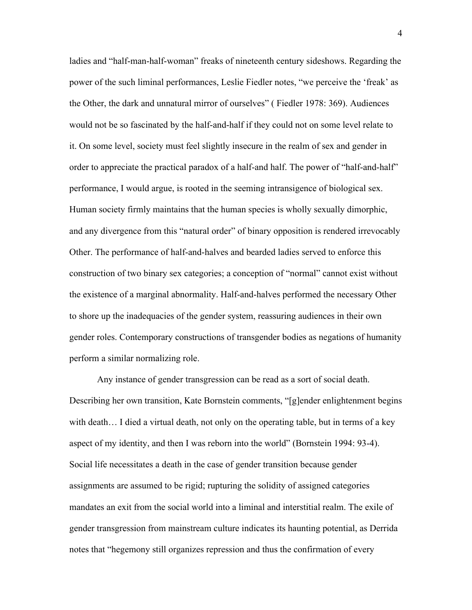ladies and "half-man-half-woman" freaks of nineteenth century sideshows. Regarding the power of the such liminal performances, Leslie Fiedler notes, "we perceive the 'freak' as the Other, the dark and unnatural mirror of ourselves" ( Fiedler 1978: 369). Audiences would not be so fascinated by the half-and-half if they could not on some level relate to it. On some level, society must feel slightly insecure in the realm of sex and gender in order to appreciate the practical paradox of a half-and half. The power of "half-and-half" performance, I would argue, is rooted in the seeming intransigence of biological sex. Human society firmly maintains that the human species is wholly sexually dimorphic, and any divergence from this "natural order" of binary opposition is rendered irrevocably Other. The performance of half-and-halves and bearded ladies served to enforce this construction of two binary sex categories; a conception of "normal" cannot exist without the existence of a marginal abnormality. Half-and-halves performed the necessary Other to shore up the inadequacies of the gender system, reassuring audiences in their own gender roles. Contemporary constructions of transgender bodies as negations of humanity perform a similar normalizing role.

Any instance of gender transgression can be read as a sort of social death. Describing her own transition, Kate Bornstein comments, "[g]ender enlightenment begins with death… I died a virtual death, not only on the operating table, but in terms of a key aspect of my identity, and then I was reborn into the world" (Bornstein 1994: 93-4). Social life necessitates a death in the case of gender transition because gender assignments are assumed to be rigid; rupturing the solidity of assigned categories mandates an exit from the social world into a liminal and interstitial realm. The exile of gender transgression from mainstream culture indicates its haunting potential, as Derrida notes that "hegemony still organizes repression and thus the confirmation of every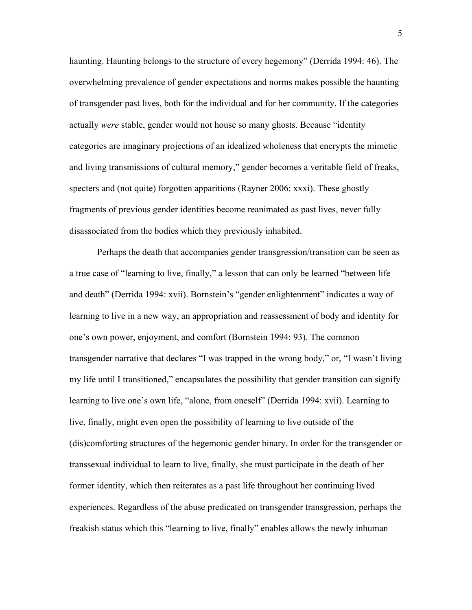haunting. Haunting belongs to the structure of every hegemony" (Derrida 1994: 46). The overwhelming prevalence of gender expectations and norms makes possible the haunting of transgender past lives, both for the individual and for her community. If the categories actually *were* stable, gender would not house so many ghosts. Because "identity categories are imaginary projections of an idealized wholeness that encrypts the mimetic and living transmissions of cultural memory," gender becomes a veritable field of freaks, specters and (not quite) forgotten apparitions (Rayner 2006: xxxi). These ghostly fragments of previous gender identities become reanimated as past lives, never fully disassociated from the bodies which they previously inhabited.

Perhaps the death that accompanies gender transgression/transition can be seen as a true case of "learning to live, finally," a lesson that can only be learned "between life and death" (Derrida 1994: xvii). Bornstein's "gender enlightenment" indicates a way of learning to live in a new way, an appropriation and reassessment of body and identity for one's own power, enjoyment, and comfort (Bornstein 1994: 93). The common transgender narrative that declares "I was trapped in the wrong body," or, "I wasn't living my life until I transitioned," encapsulates the possibility that gender transition can signify learning to live one's own life, "alone, from oneself" (Derrida 1994: xvii). Learning to live, finally, might even open the possibility of learning to live outside of the (dis)comforting structures of the hegemonic gender binary. In order for the transgender or transsexual individual to learn to live, finally, she must participate in the death of her former identity, which then reiterates as a past life throughout her continuing lived experiences. Regardless of the abuse predicated on transgender transgression, perhaps the freakish status which this "learning to live, finally" enables allows the newly inhuman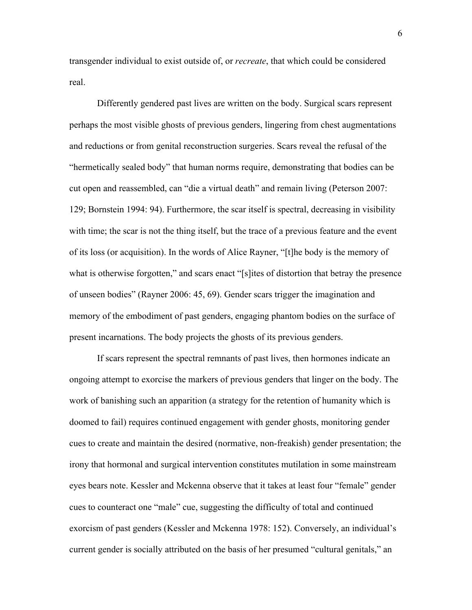transgender individual to exist outside of, or *recreate*, that which could be considered real.

Differently gendered past lives are written on the body. Surgical scars represent perhaps the most visible ghosts of previous genders, lingering from chest augmentations and reductions or from genital reconstruction surgeries. Scars reveal the refusal of the "hermetically sealed body" that human norms require, demonstrating that bodies can be cut open and reassembled, can "die a virtual death" and remain living (Peterson 2007: 129; Bornstein 1994: 94). Furthermore, the scar itself is spectral, decreasing in visibility with time; the scar is not the thing itself, but the trace of a previous feature and the event of its loss (or acquisition). In the words of Alice Rayner, "[t]he body is the memory of what is otherwise forgotten," and scars enact "[s]ites of distortion that betray the presence of unseen bodies" (Rayner 2006: 45, 69). Gender scars trigger the imagination and memory of the embodiment of past genders, engaging phantom bodies on the surface of present incarnations. The body projects the ghosts of its previous genders.

If scars represent the spectral remnants of past lives, then hormones indicate an ongoing attempt to exorcise the markers of previous genders that linger on the body. The work of banishing such an apparition (a strategy for the retention of humanity which is doomed to fail) requires continued engagement with gender ghosts, monitoring gender cues to create and maintain the desired (normative, non-freakish) gender presentation; the irony that hormonal and surgical intervention constitutes mutilation in some mainstream eyes bears note. Kessler and Mckenna observe that it takes at least four "female" gender cues to counteract one "male" cue, suggesting the difficulty of total and continued exorcism of past genders (Kessler and Mckenna 1978: 152). Conversely, an individual's current gender is socially attributed on the basis of her presumed "cultural genitals," an

6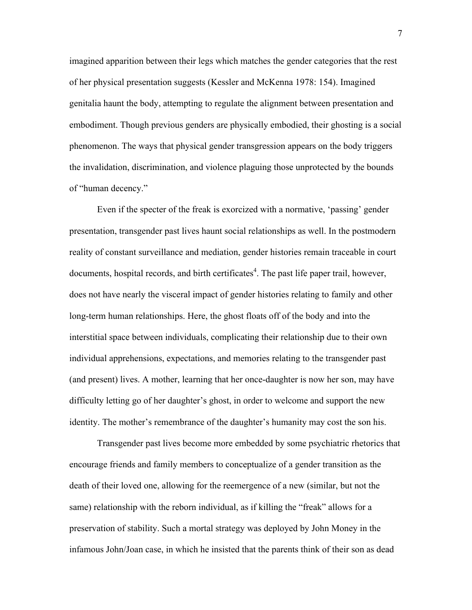imagined apparition between their legs which matches the gender categories that the rest of her physical presentation suggests (Kessler and McKenna 1978: 154). Imagined genitalia haunt the body, attempting to regulate the alignment between presentation and embodiment. Though previous genders are physically embodied, their ghosting is a social phenomenon. The ways that physical gender transgression appears on the body triggers the invalidation, discrimination, and violence plaguing those unprotected by the bounds of "human decency."

Even if the specter of the freak is exorcized with a normative, 'passing' gender presentation, transgender past lives haunt social relationships as well. In the postmodern reality of constant surveillance and mediation, gender histories remain traceable in court documents, hospital records, and birth certificates<sup>4</sup>. The past life paper trail, however, does not have nearly the visceral impact of gender histories relating to family and other long-term human relationships. Here, the ghost floats off of the body and into the interstitial space between individuals, complicating their relationship due to their own individual apprehensions, expectations, and memories relating to the transgender past (and present) lives. A mother, learning that her once-daughter is now her son, may have difficulty letting go of her daughter's ghost, in order to welcome and support the new identity. The mother's remembrance of the daughter's humanity may cost the son his.

Transgender past lives become more embedded by some psychiatric rhetorics that encourage friends and family members to conceptualize of a gender transition as the death of their loved one, allowing for the reemergence of a new (similar, but not the same) relationship with the reborn individual, as if killing the "freak" allows for a preservation of stability. Such a mortal strategy was deployed by John Money in the infamous John/Joan case, in which he insisted that the parents think of their son as dead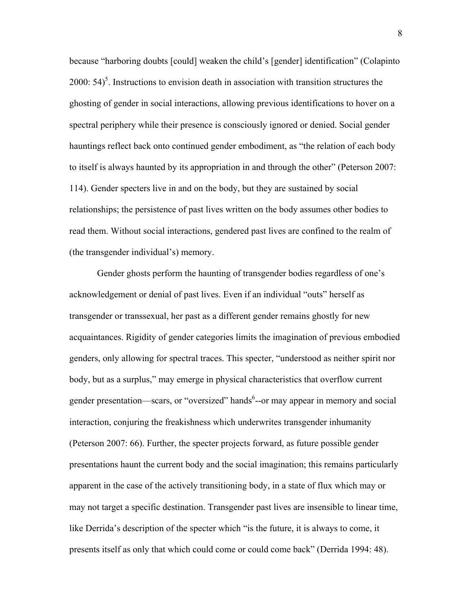because "harboring doubts [could] weaken the child's [gender] identification" (Colapinto 2000:  $54$ <sup>5</sup>. Instructions to envision death in association with transition structures the ghosting of gender in social interactions, allowing previous identifications to hover on a spectral periphery while their presence is consciously ignored or denied. Social gender hauntings reflect back onto continued gender embodiment, as "the relation of each body to itself is always haunted by its appropriation in and through the other" (Peterson 2007: 114). Gender specters live in and on the body, but they are sustained by social relationships; the persistence of past lives written on the body assumes other bodies to read them. Without social interactions, gendered past lives are confined to the realm of (the transgender individual's) memory.

Gender ghosts perform the haunting of transgender bodies regardless of one's acknowledgement or denial of past lives. Even if an individual "outs" herself as transgender or transsexual, her past as a different gender remains ghostly for new acquaintances. Rigidity of gender categories limits the imagination of previous embodied genders, only allowing for spectral traces. This specter, "understood as neither spirit nor body, but as a surplus," may emerge in physical characteristics that overflow current gender presentation—scars, or "oversized" hands<sup>6</sup>--or may appear in memory and social interaction, conjuring the freakishness which underwrites transgender inhumanity (Peterson 2007: 66). Further, the specter projects forward, as future possible gender presentations haunt the current body and the social imagination; this remains particularly apparent in the case of the actively transitioning body, in a state of flux which may or may not target a specific destination. Transgender past lives are insensible to linear time, like Derrida's description of the specter which "is the future, it is always to come, it presents itself as only that which could come or could come back" (Derrida 1994: 48).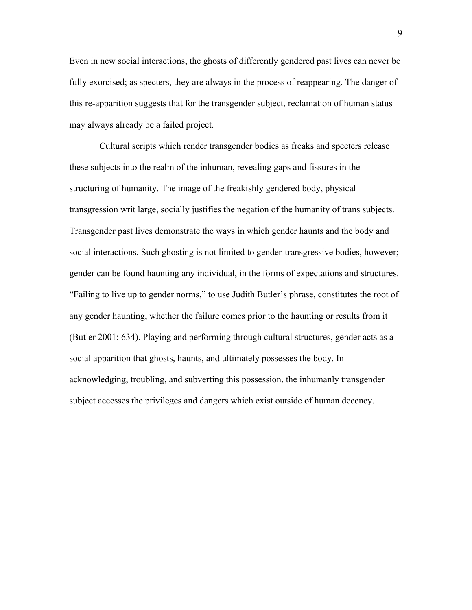Even in new social interactions, the ghosts of differently gendered past lives can never be fully exorcised; as specters, they are always in the process of reappearing. The danger of this re-apparition suggests that for the transgender subject, reclamation of human status may always already be a failed project.

 Cultural scripts which render transgender bodies as freaks and specters release these subjects into the realm of the inhuman, revealing gaps and fissures in the structuring of humanity. The image of the freakishly gendered body, physical transgression writ large, socially justifies the negation of the humanity of trans subjects. Transgender past lives demonstrate the ways in which gender haunts and the body and social interactions. Such ghosting is not limited to gender-transgressive bodies, however; gender can be found haunting any individual, in the forms of expectations and structures. "Failing to live up to gender norms," to use Judith Butler's phrase, constitutes the root of any gender haunting, whether the failure comes prior to the haunting or results from it (Butler 2001: 634). Playing and performing through cultural structures, gender acts as a social apparition that ghosts, haunts, and ultimately possesses the body. In acknowledging, troubling, and subverting this possession, the inhumanly transgender subject accesses the privileges and dangers which exist outside of human decency.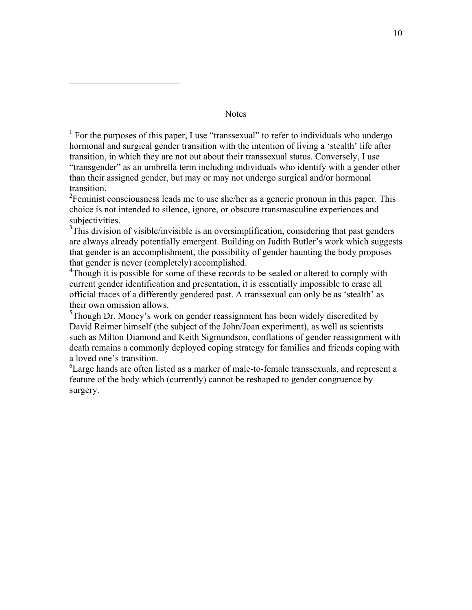**Notes** 

 $\overline{a}$ 

<sup>1</sup> For the purposes of this paper, I use "transsexual" to refer to individuals who undergo hormonal and surgical gender transition with the intention of living a 'stealth' life after transition, in which they are not out about their transsexual status. Conversely, I use "transgender" as an umbrella term including individuals who identify with a gender other than their assigned gender, but may or may not undergo surgical and/or hormonal transition.

 $2^2$ Feminist consciousness leads me to use she/her as a generic pronoun in this paper. This choice is not intended to silence, ignore, or obscure transmasculine experiences and subjectivities.

 $3$ This division of visible/invisible is an oversimplification, considering that past genders are always already potentially emergent. Building on Judith Butler's work which suggests that gender is an accomplishment, the possibility of gender haunting the body proposes that gender is never (completely) accomplished.

<sup>4</sup>Though it is possible for some of these records to be sealed or altered to comply with current gender identification and presentation, it is essentially impossible to erase all official traces of a differently gendered past. A transsexual can only be as 'stealth' as their own omission allows.

 $5$ Though Dr. Money's work on gender reassignment has been widely discredited by David Reimer himself (the subject of the John/Joan experiment), as well as scientists such as Milton Diamond and Keith Sigmundson, conflations of gender reassignment with death remains a commonly deployed coping strategy for families and friends coping with a loved one's transition.

 ${}^{6}$ Large hands are often listed as a marker of male-to-female transsexuals, and represent a feature of the body which (currently) cannot be reshaped to gender congruence by surgery.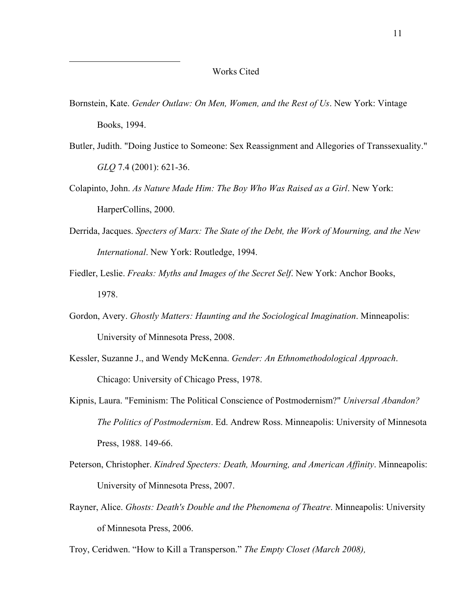$\overline{a}$ 

- Bornstein, Kate. *Gender Outlaw: On Men, Women, and the Rest of Us*. New York: Vintage Books, 1994.
- Butler, Judith. "Doing Justice to Someone: Sex Reassignment and Allegories of Transsexuality." *GLQ* 7.4 (2001): 621-36.
- Colapinto, John. *As Nature Made Him: The Boy Who Was Raised as a Girl*. New York: HarperCollins, 2000.
- Derrida, Jacques. *Specters of Marx: The State of the Debt, the Work of Mourning, and the New International*. New York: Routledge, 1994.
- Fiedler, Leslie. *Freaks: Myths and Images of the Secret Self*. New York: Anchor Books, 1978.
- Gordon, Avery. *Ghostly Matters: Haunting and the Sociological Imagination*. Minneapolis: University of Minnesota Press, 2008.
- Kessler, Suzanne J., and Wendy McKenna. *Gender: An Ethnomethodological Approach*. Chicago: University of Chicago Press, 1978.
- Kipnis, Laura. "Feminism: The Political Conscience of Postmodernism?" *Universal Abandon? The Politics of Postmodernism*. Ed. Andrew Ross. Minneapolis: University of Minnesota Press, 1988. 149-66.
- Peterson, Christopher. *Kindred Specters: Death, Mourning, and American Affinity*. Minneapolis: University of Minnesota Press, 2007.
- Rayner, Alice. *Ghosts: Death's Double and the Phenomena of Theatre*. Minneapolis: University of Minnesota Press, 2006.
- Troy, Ceridwen. "How to Kill a Transperson." *The Empty Closet (March 2008),*